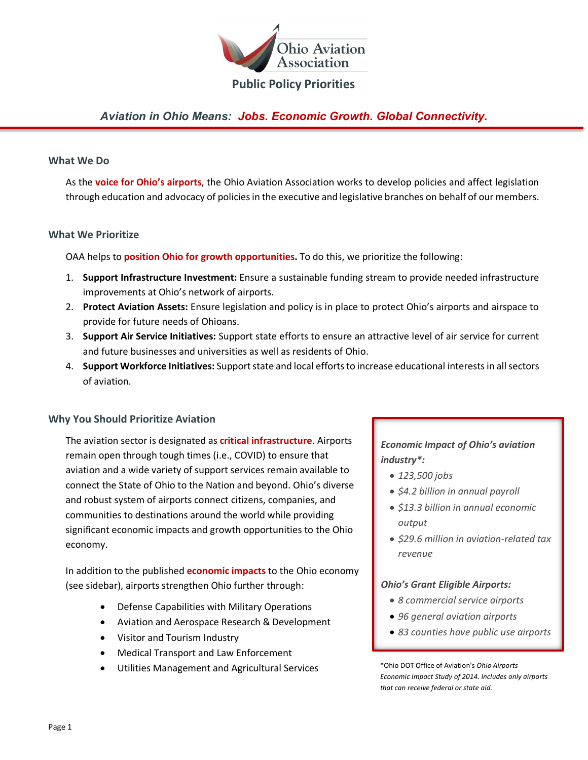

## **Public Policy Priorities**

# *Aviation in Ohio Means: Jobs. Economic Growth. Global Connectivity.*

#### **What We Do**

As the **voice for Ohio's airports**, the Ohio Aviation Association works to develop policies and affect legislation through education and advocacy of policies in the executive and legislative branches on behalf of our members.

#### **What We Prioritize**

OAA helps to **position Ohio for growth opportunities.** To do this, we prioritize the following:

- 1. **Support Infrastructure Investment:** Ensure a sustainable funding stream to provide needed infrastructure improvements at Ohio's network of airports.
- 2. **Protect Aviation Assets:** Ensure legislation and policy is in place to protect Ohio's airports and airspace to provide for future needs of Ohioans.
- 3. **Support Air Service Initiatives:** Support state efforts to ensure an attractive level of air service for current and future businesses and universities as well as residents of Ohio.
- 4. **Support Workforce Initiatives:** Support state and local efforts to increase educational interests in all sectors of aviation.

### **Why You Should Prioritize Aviation**

The aviation sector is designated as **critical infrastructure**. Airports remain open through tough times (i.e., COVID) to ensure that aviation and a wide variety of support services remain available to connect the State of Ohio to the Nation and beyond. Ohio's diverse and robust system of airports connect citizens, companies, and communities to destinations around the world while providing significant economic impacts and growth opportunities to the Ohio economy.

In addition to the published **economic impacts** to the Ohio economy (see sidebar), airports strengthen Ohio further through:

- Defense Capabilities with Military Operations
- Aviation and Aerospace Research & Development
- Visitor and Tourism Industry
- Medical Transport and Law Enforcement
- Utilities Management and Agricultural Services

## *Economic Impact of Ohio's aviation industry\*:*

- *123,500 jobs*
- *\$4.2 billion in annual payroll*
- *\$13.3 billion in annual economic output*
- *\$29.6 million in aviation-related tax revenue*

#### *Ohio's Grant Eligible Airports:*

- *8 commercial service airports*
- *96 general aviation airports*
- *83 counties have public use airports*

\*Ohio DOT Office of Aviation's *Ohio Airports Economic Impact Study of 2014. Includes only airports that can receive federal or state aid.*